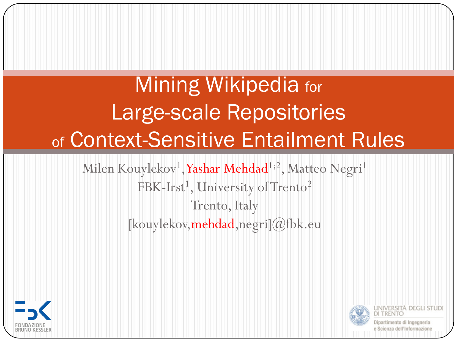# **Mining Wikipedia for** Large-scale Repositories of Context-Sensitive Entailment Rules

Milen Kouylekov<sup>1</sup>, Yashar Mehdad<sup>1;2</sup>, Matteo Negri<sup>1</sup> FBK-Irst<sup>1</sup>, University of Trento<sup>2</sup> Trento, Italy [kouylekov,mehdad,negri]@fbk.eu



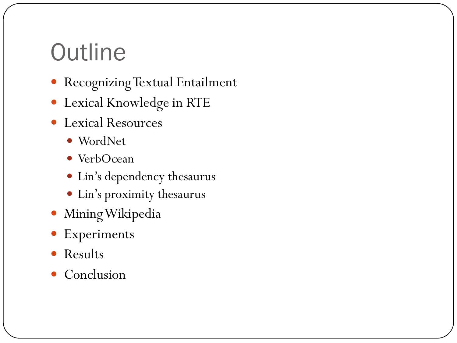# **Outline**

- Recognizing Textual Entailment
- Lexical Knowledge in RTE
- Lexical Resources
	- WordNet
	- VerbOcean
	- Lin's dependency thesaurus
	- Lin's proximity thesaurus
- Mining Wikipedia
- Experiments
- Results
- Conclusion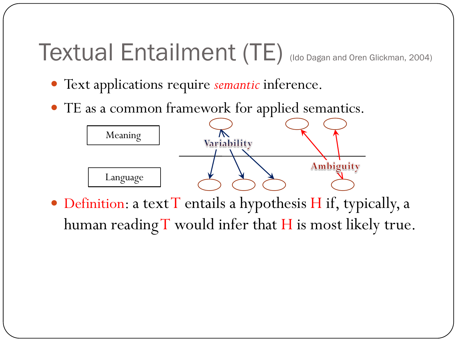# Textual Entailment (TE) (Ido Dagan and Oren Glickman, 2004)

- Text applications require *semantic* inference.
- TE as a common framework for applied semantics.



 Definition: a text T entails a hypothesis H if, typically, a human reading T would infer that H is most likely true.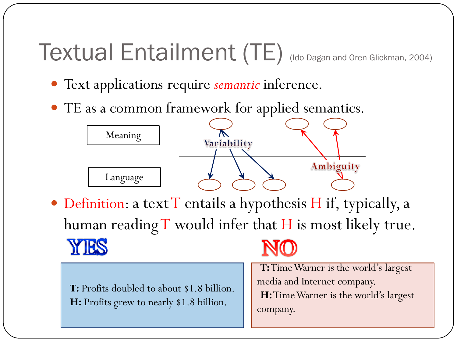# Textual Entailment (TE) (Ido Dagan and Oren Glickman, 2004)

- Text applications require *semantic* inference.
- TE as a common framework for applied semantics.



 Definition: a text T entails a hypothesis H if, typically, a human reading T would infer that H is most likely true. YIKS

**T:** Profits doubled to about \$1.8 billion. **H:** Profits grew to nearly \$1.8 billion.

**T:**Time Warner is the world's largest media and Internet company. **H:**Time Warner is the world's largest company.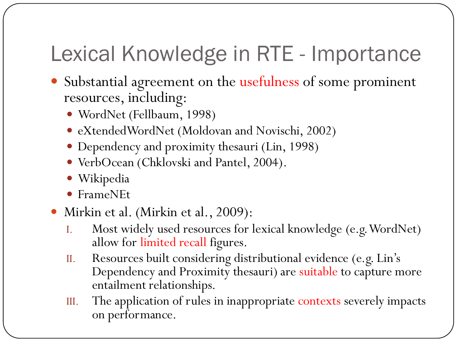#### Lexical Knowledge in RTE - Importance

- Substantial agreement on the usefulness of some prominent resources, including:
	- WordNet (Fellbaum, 1998)
	- eXtendedWordNet (Moldovan and Novischi, 2002)
	- Dependency and proximity thesauri (Lin, 1998)
	- VerbOcean (Chklovski and Pantel, 2004).
	- Wikipedia
	- FrameNEt

• Mirkin et al. (Mirkin et al., 2009):

- I. Most widely used resources for lexical knowledge (e.g. WordNet) allow for limited recall figures.
- II. Resources built considering distributional evidence (e.g. Lin's Dependency and Proximity thesauri) are suitable to capture more entailment relationships.
- III. The application of rules in inappropriate contexts severely impacts on performance.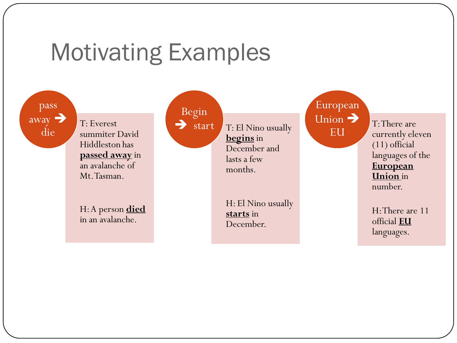#### Motivating Examples

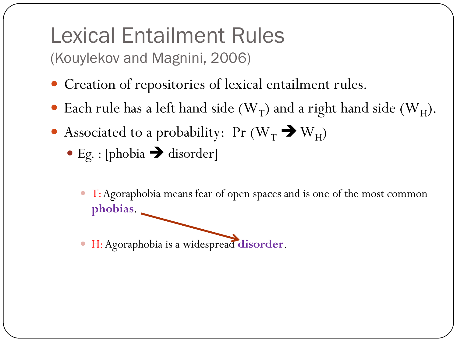# Lexical Entailment Rules

(Kouylekov and Magnini, 2006)

- Creation of repositories of lexical entailment rules.
- $\bullet\,$  Each rule has a left hand side  $(\rm W_T)$  and a right hand side  $(\rm W_H).$
- $\bullet\,$  Associated to a probability: Pr  $(\rm W_T\, \Longrightarrow W_H)$ 
	- $\bullet$  Eg. : [phobia  $\rightarrow$  disorder]
		- T:Agoraphobia means fear of open spaces and is one of the most common **phobias**.
		- H:Agoraphobia is a widespread **disorder**.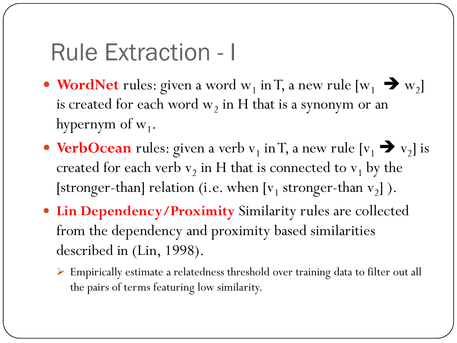#### Rule Extraction - I

- WordNet rules: given a word  $w_1$  in T, a new rule  $[w_1 \rightarrow w_2]$ is created for each word  $\mathbf{w}_2$  in H that is a synonym or an hypernym of  $w_1$ .
- VerbOcean rules: given a verb  $v_1$  in T, a new rule  $[v_1 \rightarrow v_2]$  is created for each verb  $v_2$  in H that is connected to  $v_1$  by the [stronger-than] relation (i.e. when  $\left[v_1\right.$  stronger-than  $v_2\right]$  ).
- **Lin Dependency/Proximity** Similarity rules are collected from the dependency and proximity based similarities described in (Lin, 1998).
	- Empirically estimate a relatedness threshold over training data to filter out all the pairs of terms featuring low similarity.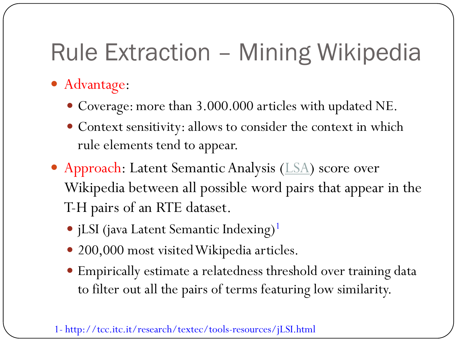# Rule Extraction – Mining Wikipedia

- Advantage:
	- Coverage: more than 3.000.000 articles with updated NE.
	- Context sensitivity: allows to consider the context in which rule elements tend to appear.
- Approach: Latent Semantic Analysis ([LSA](#page-22-0)) score over Wikipedia between all possible word pairs that appear in the T-H pairs of an RTE dataset.
	- jLSI (java Latent Semantic Indexing)<sup>1</sup>
	- 200,000 most visited Wikipedia articles.
	- Empirically estimate a relatedness threshold over training data to filter out all the pairs of terms featuring low similarity.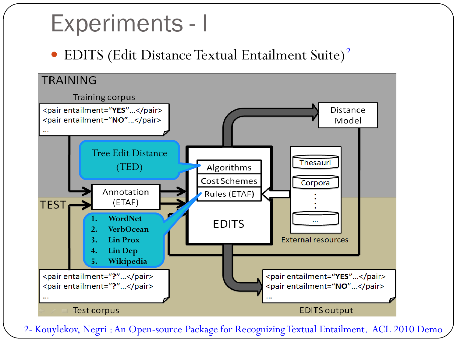#### Experiments - I

#### • EDITS (Edit Distance Textual Entailment Suite)<sup>2</sup>



2- Kouylekov, Negri : An Open-source Package for Recognizing Textual Entailment. ACL 2010 Demo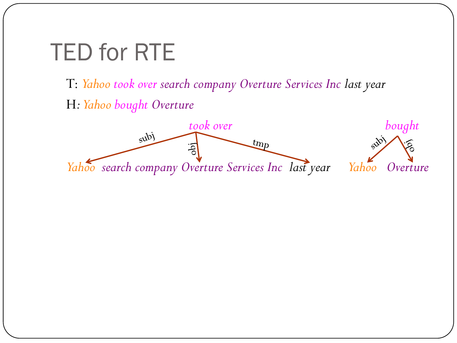- T: *Yahoo took over search company Overture Services Inc last year*
- H*: Yahoo bought Overture*



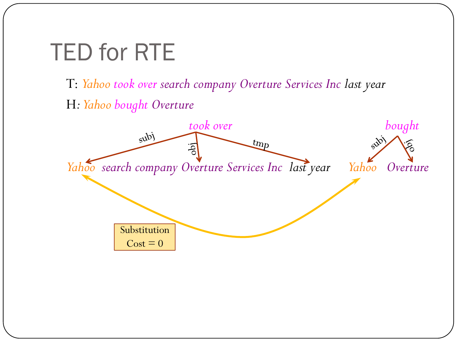T: *Yahoo took over search company Overture Services Inc last year*

H*: Yahoo bought Overture*

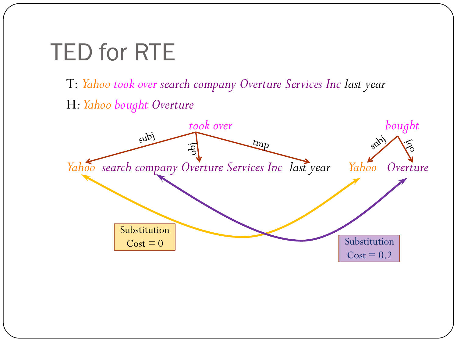T: *Yahoo took over search company Overture Services Inc last year*

H*: Yahoo bought Overture*

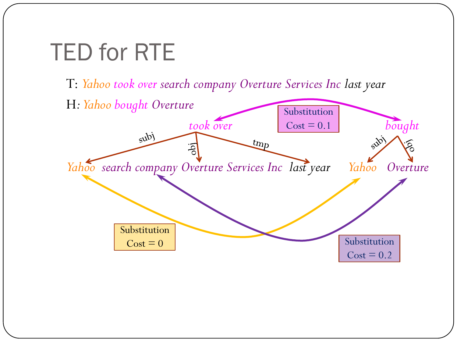T: *Yahoo took over search company Overture Services Inc last year*

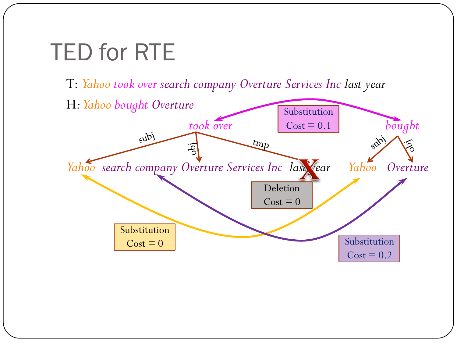T: *Yahoo took over search company Overture Services Inc last year*

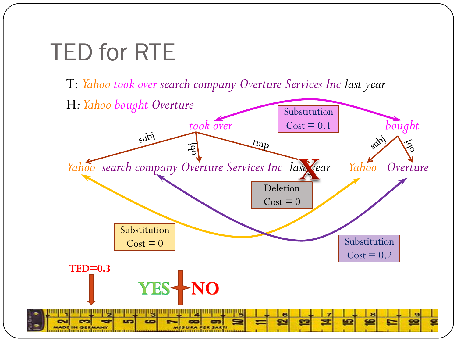T: *Yahoo took over search company Overture Services Inc last year*

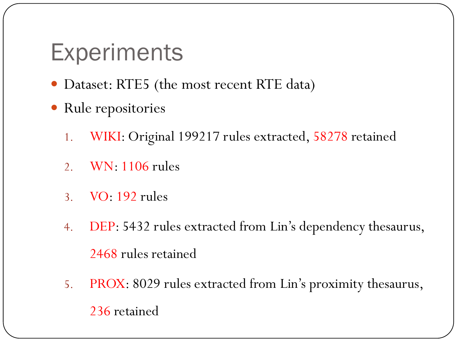#### **Experiments**

- Dataset: RTE5 (the most recent RTE data)
- Rule repositories
	- 1. WIKI: Original 199217 rules extracted, 58278 retained
	- 2. WN: 1106 rules
	- 3. VO: 192 rules
	- 4. DEP: 5432 rules extracted from Lin's dependency thesaurus, 2468 rules retained
	- 5. PROX: 8029 rules extracted from Lin's proximity thesaurus, 236 retained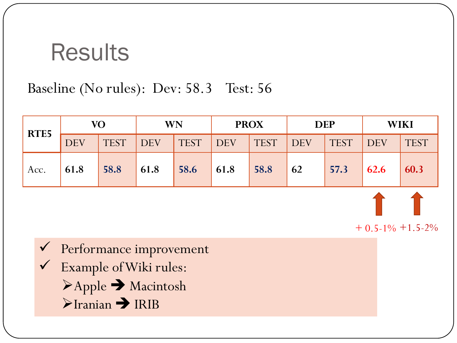#### Results

#### Baseline (No rules): Dev: 58.3 Test: 56

| RTE5 | <b>VO</b>  |             | WN         |             | <b>PROX</b> |             | <b>DEP</b> |             | <b>WIKI</b> |             |
|------|------------|-------------|------------|-------------|-------------|-------------|------------|-------------|-------------|-------------|
|      | <b>DEV</b> | <b>TEST</b> | <b>DEV</b> | <b>TEST</b> | <b>DEV</b>  | <b>TEST</b> | <b>DEV</b> | <b>TEST</b> | <b>DEV</b>  | <b>TEST</b> |
| Acc. | 61.8       | 58.8        | 61.8       | 58.6        | 61.8        | 58.8        | 62         | 57.3        | 62.6        | 60.3        |

 $+ 0.5 - 1\% + 1.5 - 2\%$ 

- Performance improvement Example of Wiki rules:
	- Apple Macintosh
	- $\triangleright$ Iranian  $\rightarrow$  IRIB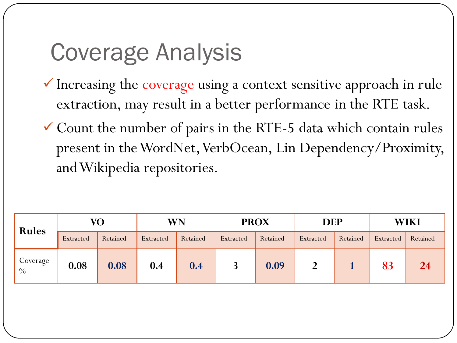# Coverage Analysis

- Increasing the coverage using a context sensitive approach in rule extraction, may result in a better performance in the RTE task.
- Count the number of pairs in the RTE-5 data which contain rules present in the WordNet, VerbOcean, Lin Dependency/Proximity, and Wikipedia repositories.

| <b>Rules</b>              | VO        |          | WN        |          | <b>PROX</b> |          | <b>DEP</b> |          | <b>WIKI</b> |          |
|---------------------------|-----------|----------|-----------|----------|-------------|----------|------------|----------|-------------|----------|
|                           | Extracted | Retained | Extracted | Retained | Extracted   | Retained | Extracted  | Retained | Extracted   | Retained |
| Coverage<br>$\frac{0}{0}$ | 0.08      | 0.08     | 0.4       | 0.4      | ◡           | 0.09     |            |          | 83          |          |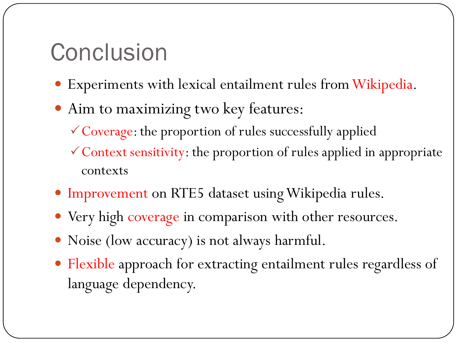### **Conclusion**

- Experiments with lexical entailment rules from Wikipedia.
- Aim to maximizing two key features: Coverage: the proportion of rules successfully applied  $\checkmark$  Context sensitivity: the proportion of rules applied in appropriate contexts
- $\bullet$  Improvement on RTE5 dataset using Wikipedia rules.
- Very high coverage in comparison with other resources.
- Noise (low accuracy) is not always harmful.
- Flexible approach for extracting entailment rules regardless of language dependency.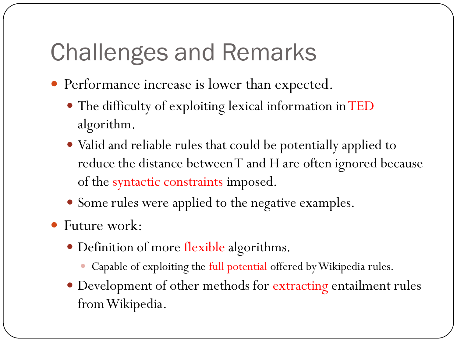# Challenges and Remarks

- Performance increase is lower than expected.
	- The difficulty of exploiting lexical information in TED algorithm.
	- Valid and reliable rules that could be potentially applied to reduce the distance between T and H are often ignored because of the syntactic constraints imposed.
	- Some rules were applied to the negative examples.
- Future work:
	- Definition of more flexible algorithms.
		- Capable of exploiting the full potential offered by Wikipedia rules.
	- Development of other methods for extracting entailment rules from Wikipedia.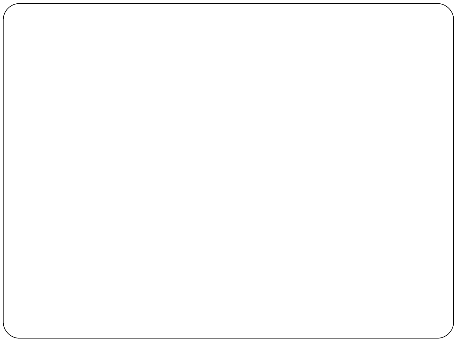